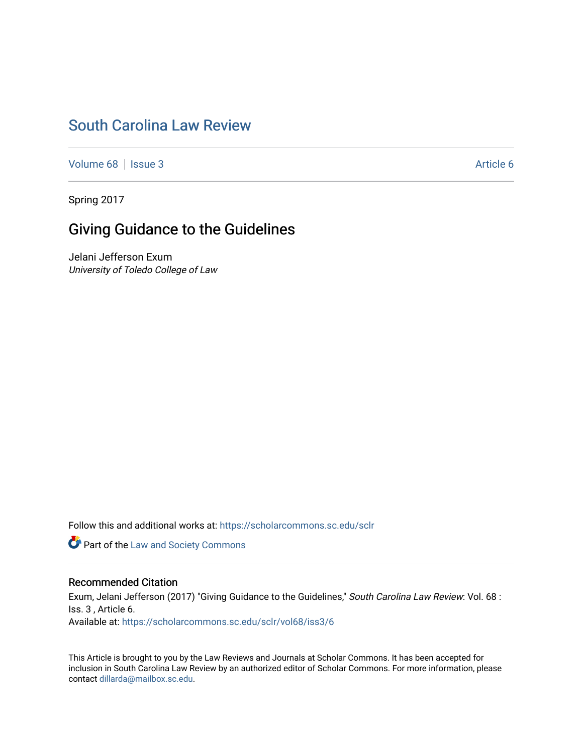# [South Carolina Law Review](https://scholarcommons.sc.edu/sclr)

[Volume 68](https://scholarcommons.sc.edu/sclr/vol68) | [Issue 3](https://scholarcommons.sc.edu/sclr/vol68/iss3) Article 6

Spring 2017

# Giving Guidance to the Guidelines

Jelani Jefferson Exum University of Toledo College of Law

Follow this and additional works at: [https://scholarcommons.sc.edu/sclr](https://scholarcommons.sc.edu/sclr?utm_source=scholarcommons.sc.edu%2Fsclr%2Fvol68%2Fiss3%2F6&utm_medium=PDF&utm_campaign=PDFCoverPages)

**Part of the [Law and Society Commons](http://network.bepress.com/hgg/discipline/853?utm_source=scholarcommons.sc.edu%2Fsclr%2Fvol68%2Fiss3%2F6&utm_medium=PDF&utm_campaign=PDFCoverPages)** 

## Recommended Citation

Exum, Jelani Jefferson (2017) "Giving Guidance to the Guidelines," South Carolina Law Review: Vol. 68 : Iss. 3 , Article 6. Available at: [https://scholarcommons.sc.edu/sclr/vol68/iss3/6](https://scholarcommons.sc.edu/sclr/vol68/iss3/6?utm_source=scholarcommons.sc.edu%2Fsclr%2Fvol68%2Fiss3%2F6&utm_medium=PDF&utm_campaign=PDFCoverPages)

This Article is brought to you by the Law Reviews and Journals at Scholar Commons. It has been accepted for inclusion in South Carolina Law Review by an authorized editor of Scholar Commons. For more information, please contact [dillarda@mailbox.sc.edu.](mailto:dillarda@mailbox.sc.edu)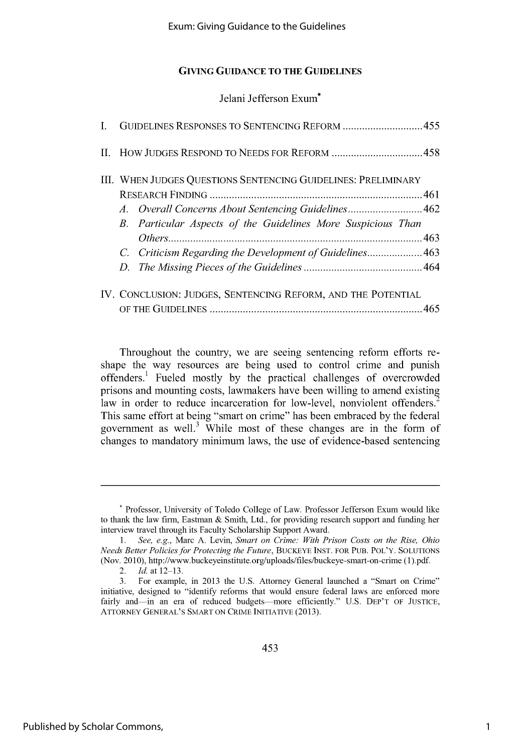Jelani Jefferson Exum\*

|  | I. GUIDELINES RESPONSES TO SENTENCING REFORM 455              |
|--|---------------------------------------------------------------|
|  |                                                               |
|  | III. WHEN JUDGES QUESTIONS SENTENCING GUIDELINES: PRELIMINARY |
|  |                                                               |
|  | A. Overall Concerns About Sentencing Guidelines462            |
|  | B. Particular Aspects of the Guidelines More Suspicious Than  |
|  |                                                               |
|  | C. Criticism Regarding the Development of Guidelines 463      |
|  |                                                               |
|  | IV. CONCLUSION: JUDGES, SENTENCING REFORM, AND THE POTENTIAL  |
|  |                                                               |

Throughout the country, we are seeing sentencing reform efforts reshape the way resources are being used to control crime and punish offenders.<sup>1</sup> Fueled mostly by the practical challenges of overcrowded prisons and mounting costs, lawmakers have been willing to amend existing law in order to reduce incarceration for low-level, nonviolent offenders.<sup>2</sup> This same effort at being "smart on crime" has been embraced **by** the federal government as well.<sup>3</sup> While most of these changes are in the form of changes to mandatory minimum laws, the use of evidence-based sentencing

**<sup>\*</sup>** Professor, University of Toledo College of Law. Professor Jefferson Exum would like to thank the law firm, Eastman **&** Smith, Ltd., for providing research support and funding her interview travel through its Faculty Scholarship Support Award.

**<sup>1.</sup>** *See, e.g.,* Marc **A.** Levin, *Smart on Crime: With Prison Costs on the Rise, Ohio Needs Better Policies for Protecting the Future,* **BUCKEYE INST.** FOR **PUB.** POL'Y. **SOLUTIONS** (Nov. 2010), http://www.buckeyeinstitute.org/uploads/files/buckeye-smart-on-crime **(1).pdf.**

<sup>2.</sup> *Id.* at **12-13.**

**<sup>3.</sup>** For example, in **2013** the **U.S.** Attorney General launched a "Smart on Crime" initiative, designed to "identify reforms that would ensure federal laws are enforced more fairly and-in an era of reduced budgets-more efficiently." U.S. DEP'T OF JUSTICE, ATTORNEY **GENERAL'S** SMART **ON** CRIME **INITIATIVE (2013).**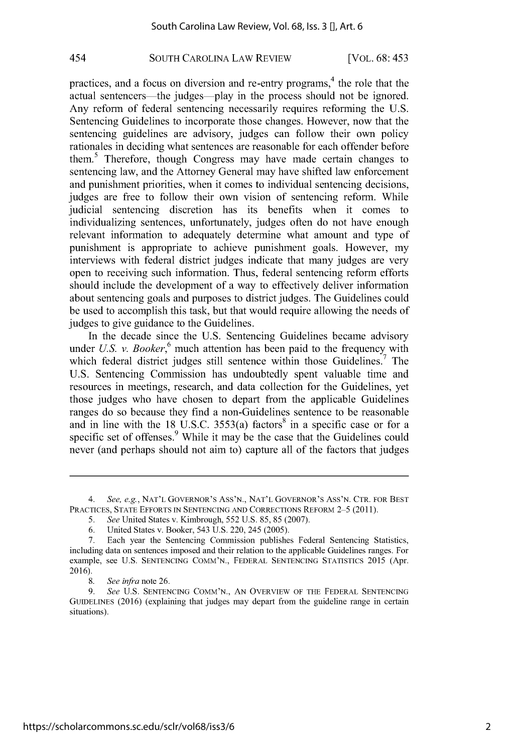## **SOUTH** CAROLINA LAW REVIEW 454 [VOL. **6 8:** 45 **3**

practices, and a focus on diversion and re-entry programs,<sup>4</sup> the role that the actual sentencers—the judges—play in the process should not be ignored. Any reform of federal sentencing necessarily requires reforming the **U.S.** Sentencing Guidelines to incorporate those changes. However, now that the sentencing guidelines are advisory, judges can follow their own policy rationales in deciding what sentences are reasonable for each offender before them.5 Therefore, though Congress may have made certain changes to sentencing law, and the Attorney General may have shifted law enforcement and punishment priorities, when it comes to individual sentencing decisions, judges are free to follow their own vision of sentencing reform. While judicial sentencing discretion has its benefits when it comes to individualizing sentences, unfortunately, judges often do not have enough relevant information to adequately determine what amount and type of punishment is appropriate to achieve punishment goals. However, my interviews with federal district judges indicate that many judges are very open to receiving such information. Thus, federal sentencing reform efforts should include the development of a way to effectively deliver information about sentencing goals and purposes to district judges. The Guidelines could be used to accomplish this task, but that would require allowing the needs of judges to give guidance to the Guidelines.

In the decade since the **U.S.** Sentencing Guidelines became advisory under *U.S. v. Booker*,<sup>6</sup> much attention has been paid to the frequency with which federal district judges still sentence within those Guidelines.<sup>7</sup> The **U.S.** Sentencing Commission has undoubtedly spent valuable time and resources in meetings, research, and data collection for the Guidelines, yet those judges who have chosen to depart from the applicable Guidelines ranges do so because they find a non-Guidelines sentence to be reasonable and in line with the  $18 \text{ U.S.C. } 3553(a) \text{ factors}^8$  in a specific case or for a specific set of offenses.<sup>9</sup> While it may be the case that the Guidelines could never (and perhaps should not aim to) capture all of the factors that judges

*<sup>4.</sup> See, e.g.,* **NAT'L** GOVERNOR'S Ass'N., **NAT'L** GOVERNOR'S Ass'N. CTR. FOR **BEST** PRACTICES, **STATE** EFFORTS **IN SENTENCING AND** CORRECTIONS REFORM *2-5* **(2011).**

*<sup>5.</sup> See* United States v. Kimbrough, *552* **U.S.** *85, 85* **(2007).**

**<sup>6.</sup>** United States v. Booker, *543* **U.S.** 220, *245 (2005).*

**<sup>7.</sup>** Each year the Sentencing Commission publishes Federal Sentencing Statistics, including data on sentences imposed and their relation to the applicable Guidelines ranges. For example, see **U.S. SENTENCING COMM'N.,** FEDERAL **SENTENCING** STATISTICS **2015** (Apr. **2016).**

**<sup>8.</sup>** *See* infra note **26.**

**<sup>9.</sup>** *See* **U.S. SENTENCING COMM'N., AN** OVERVIEW OF THE FEDERAL **SENTENCING** GUIDELINES **(2016)** (explaining that judges may depart from the guideline range in certain situations).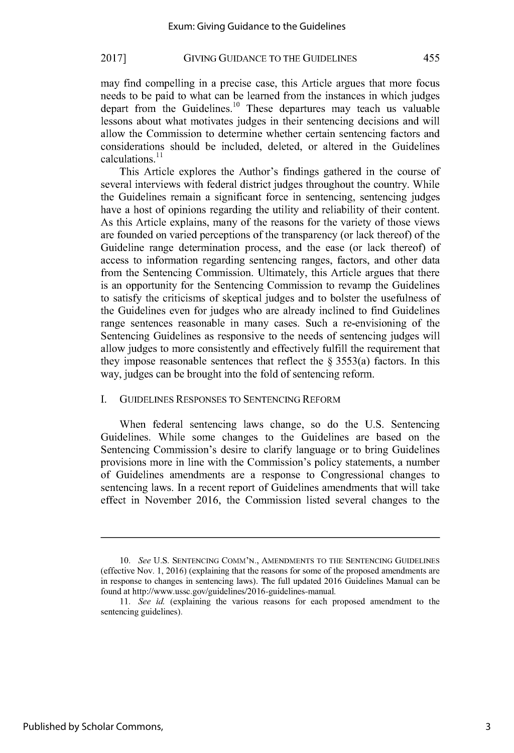may find compelling in a precise case, this Article argues that more focus needs to be paid to what can be learned from the instances in which judges depart from the Guidelines.<sup>10</sup> These departures may teach us valuable lessons about what motivates judges in their sentencing decisions and will allow the Commission to determine whether certain sentencing factors and considerations should be included, deleted, or altered in the Guidelines calculations.<sup>11</sup>

This Article explores the Author's findings gathered in the course of several interviews with federal district judges throughout the country. While the Guidelines remain a significant force in sentencing, sentencing judges have a host of opinions regarding the utility and reliability of their content. As this Article explains, many of the reasons for the variety of those views are founded on varied perceptions of the transparency (or lack thereof) of the Guideline range determination process, and the ease (or lack thereof) of access to information regarding sentencing ranges, factors, and other data from the Sentencing Commission. Ultimately, this Article argues that there is an opportunity for the Sentencing Commission to revamp the Guidelines to satisfy the criticisms of skeptical judges and to bolster the usefulness of the Guidelines even for judges who are already inclined to find Guidelines range sentences reasonable in many cases. Such a re-envisioning of the Sentencing Guidelines as responsive to the needs of sentencing judges will allow judges to more consistently and effectively fulfill the requirement that they impose reasonable sentences that reflect the **§** 3553(a) factors. In this way, judges can be brought into the fold of sentencing reform.

#### **I.** GUIDELINES **RESPONSES** TO **SENTENCING** REFORM

When federal sentencing laws change, so do the **U.S.** Sentencing Guidelines. While some changes to the Guidelines are based on the Sentencing Commission's desire to clarify language or to bring Guidelines provisions more in line with the Commission's policy statements, a number of Guidelines amendments are a response to Congressional changes to sentencing laws. In a recent report of Guidelines amendments that will take effect in November **2016,** the Commission listed several changes to the

*<sup>10.</sup>* See **U.S. SENTENCING COMM'N., AMENDMENTS** TO THE **SENTENCING** GUIDELINES (effective Nov. **1, 2016)** (explaining that the reasons for some of the proposed amendments are in response to changes in sentencing laws). The full updated **2016** Guidelines Manual can be found at http://www.ussc.gov/guidelines/2016-guidelines-manual.

*<sup>11.</sup>* See *id.* (explaining the various reasons for each proposed amendment to the sentencing guidelines).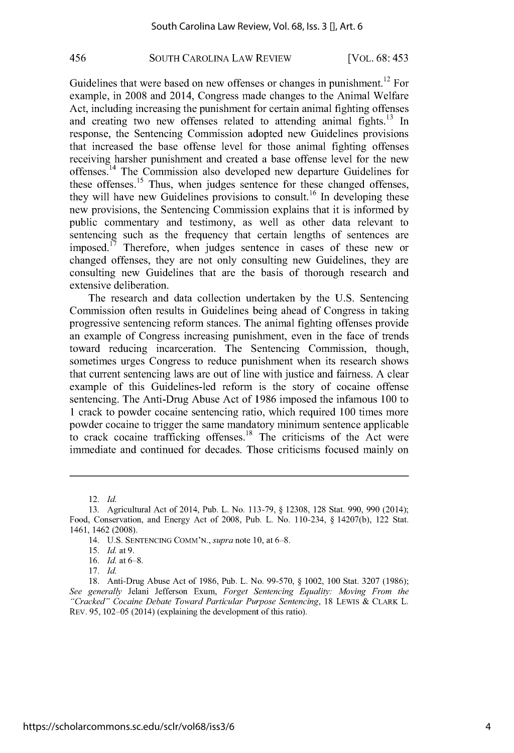## **SOUTH** CAROLINA LAW REVIEW 456 [VOL. **6 8:** 45 **3**

Guidelines that were based on new offenses or changes in punishment.<sup>12</sup> For example, in **2008** and 2014, Congress made changes to the Animal Welfare Act, including increasing the punishment for certain animal fighting offenses and creating two new offenses related to attending animal fights. $13 \text{ In}$ response, the Sentencing Commission adopted new Guidelines provisions that increased the base offense level for those animal fighting offenses receiving harsher punishment and created a base offense level for the new offenses.<sup>14</sup> The Commission also developed new departure Guidelines for these offenses.<sup>15</sup> Thus, when judges sentence for these changed offenses, they will have new Guidelines provisions to consult.<sup>16</sup> In developing these new provisions, the Sentencing Commission explains that it is informed **by** public commentary and testimony, as well as other data relevant to sentencing such as the frequency that certain lengths of sentences are imposed.<sup> $17$ </sup> Therefore, when judges sentence in cases of these new or changed offenses, they are not only consulting new Guidelines, they are consulting new Guidelines that are the basis of thorough research and extensive deliberation.

The research and data collection undertaken **by** the **U.S.** Sentencing Commission often results in Guidelines being ahead of Congress in taking progressive sentencing reform stances. The animal fighting offenses provide an example of Congress increasing punishment, even in the face of trends toward reducing incarceration. The Sentencing Commission, though, sometimes urges Congress to reduce punishment when its research shows that current sentencing laws are out of line with justice and fairness. **A** clear example of this Guidelines-led reform is the story of cocaine offense sentencing. The Anti-Drug Abuse Act of **1986** imposed the infamous **100** to 1 crack to powder cocaine sentencing ratio, which required **100** times more powder cocaine to trigger the same mandatory minimum sentence applicable to crack cocaine trafficking offenses.<sup>18</sup> The criticisms of the Act were immediate and continued for decades. Those criticisms focused mainly on

**<sup>12.</sup>** *Id*

**<sup>13.</sup>** Agricultural Act of 2014, Pub. L. No. **113-79, § 12308, 128** Stat. **990, 990** (2014); Food, Conservation, and Energy Act of **2008,** Pub. L. No. 110-234, **§ 14207(b),** 122 Stat. 1461, 1462 **(2008).**

<sup>14.</sup> **U.S. SENTENCING COMM'N.,** supra *note* **10,** at **6-8.**

*<sup>15.</sup> Id at 9.*

**<sup>16.</sup>** *Id at 6-8.*

**<sup>17.</sup>** *Id*

**<sup>18.</sup>** Anti-Drug Abuse Act of **1986,** Pub. L. No. **99-570, §** 1002, **100** Stat. **3207 (1986);** *See generally* Jelani Jefferson Exum, *Forget* Sentencing *Equality: Moving From the "Cracked"* Cocaine Debate *Toward Particular Purpose* Sentencing, **18** LEWIS **& CLARK L.** REv. **95, 102-05** (2014) (explaining the development of this ratio).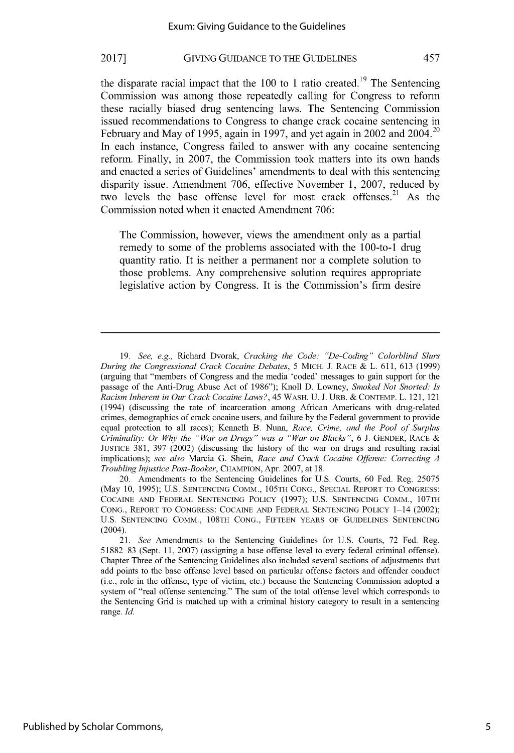the disparate racial impact that the  $100$  to 1 ratio created.<sup>19</sup> The Sentencing Commission was among those repeatedly calling for Congress to reform these racially biased drug sentencing laws. The Sentencing Commission issued recommendations to Congress to change crack cocaine sentencing in <sup>20</sup> February and May of *1995,* again in **1997,** and yet again in 2002 and 2004. In each instance, Congress failed to answer with any cocaine sentencing reform. Finally, in **2007,** the Commission took matters into its own hands and enacted a series of Guidelines' amendments to deal with this sentencing disparity issue. Amendment **706,** effective November **1, 2007,** reduced **by** two levels the base offense level for most crack offenses.<sup>21</sup> As the Commission noted when it enacted Amendment **706:**

The Commission, however, views the amendment only as a partial remedy to some of the problems associated with the 100-to-1 drug quantity ratio. It is neither a permanent nor a complete solution to those problems. Any comprehensive solution requires appropriate legislative action **by** Congress. It is the Commission's firm desire

*<sup>19.</sup>* See, e.g., Richard Dvorak, Cracking the Code: "De-Coding" Colorblind Slurs During the Congressional Crack Cocaine Debates, **5** MICH. **J. RACE &** L. **611, 613 (1999)** (arguing that "members of Congress and the media 'coded' messages to gain support for the passage of the Anti-Drug Abuse Act of **1986");** Knoll **D.** Lowney, Smoked Not Snorted: Is Racism Inherent in Our Crack Cocaine Laws?, 45 WASH. **U. J.** URB. **& CONTEMP.** L. 121, 121 (1994) (discussing the rate of incarceration among African Americans with drug-related crimes, demographics of crack cocaine users, and failure **by** the Federal government to provide equal protection to all races); Kenneth B. Nunn, Race, Crime, and the Pool of Surplus Criminality: Or *Why* the "War on Drugs" was a "War on Blacks", **6 J. GENDER, RACE JUSTICE 381, 397** (2002) (discussing the history of the war on drugs and resulting racial implications); see also Marcia **G.** Shein, Race and Crack Cocaine Offense: Correcting **A** Troubling Injustice Post-Booker, **CHAMPION,** Apr. **2007,** at **18.**

<sup>20.</sup> Amendments to the Sentencing Guidelines for **U.S.** Courts, **60** Fed. Reg. *25075* (May **10, 1995); U.S. SENTENCING** COMM., **105TH CONG., SPECIAL** REPORT TO **CONGRESS: COCAINE AND** FEDERAL **SENTENCING** POLICY **(1997); U.S. SENTENCING** COMM., **107TH CONG.,** REPORT TO **CONGRESS: COCAINE AND** FEDERAL **SENTENCING** POLICY 1-14 (2002); **U.S. SENTENCING** COMM., **108TH CONG., FIFTEEN** YEARS OF GUIDELINES **SENTENCING** (2004).

*<sup>21.</sup> See* Amendments to the Sentencing Guidelines for **U.S.** Courts, **72** Fed. Reg. **51882-83** (Sept. **11, 2007)** (assigning a base offense level to every federal criminal offense). Chapter Three of the Sentencing Guidelines also included several sections of adjustments that add points to the base offense level based on particular offense factors and offender conduct (i.e., role in the offense, type of victim, etc.) because the Sentencing Commission adopted a system of "real offense sentencing." The sum of the total offense level which corresponds to the Sentencing Grid is matched up with a criminal history category to result in a sentencing range. *Id.*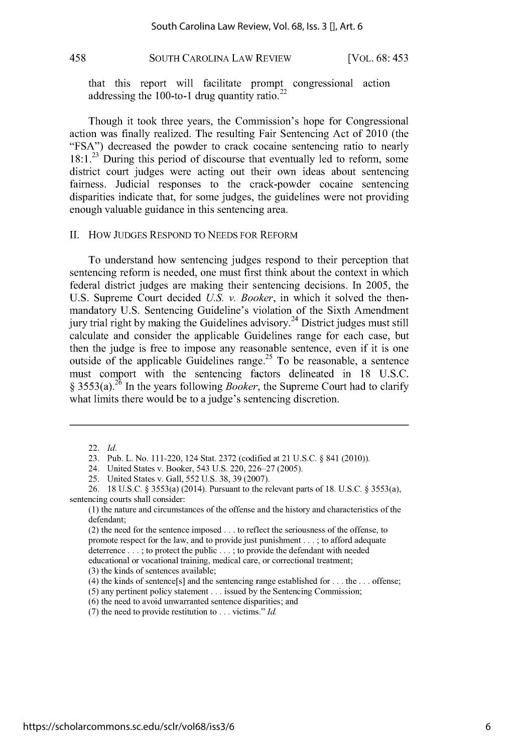## **SOUTH CAROLINA LAW REVIEW** [VOL. 68: 453

that this report will facilitate prompt congressional action addressing the 100-to-1 drug quantity ratio. $<sup>2</sup>$ </sup>

Though it took three years, the Commission's hope for Congressional action was finally realized. The resulting Fair Sentencing Act of 2010 (the **"FSA")** decreased the powder to crack cocaine sentencing ratio to nearly **18:1.23** During this period of discourse that eventually led to reform, some district court judges were acting out their own ideas about sentencing fairness. Judicial responses to the crack-powder cocaine sentencing disparities indicate that, for some judges, the guidelines were not providing enough valuable guidance in this sentencing area.

#### **II.** How **JUDGES** RESPOND TO **NEEDS** FOR REFORM

To understand how sentencing judges respond to their perception that sentencing reform is needed, one must first think about the context in which federal district judges are making their sentencing decisions. In **2005,** the **U.S.** Supreme Court decided **U.S.** *v. Booker,* in which it solved the thenmandatory **U.S.** Sentencing Guideline's violation of the Sixth Amendment jury trial right by making the Guidelines advisory.<sup>24</sup> District judges must still calculate and consider the applicable Guidelines range for each case, but then the judge is free to impose any reasonable sentence, even if it is one outside of the applicable Guidelines range.<sup>25</sup> To be reasonable, a sentence must comport with the sentencing factors delineated in **18 U.S.C. §** 3553(a).26 In the years following *Booker,* the Supreme Court had to clarify what limits there would be to a judge's sentencing discretion.

<sup>22.</sup> *Id.*

**<sup>23.</sup>** Pub. L. No. 111-220, 124 Stat. **2372** (codified at 21 **U.S.C. §** 841 (2010)).

<sup>24.</sup> United States v. Booker, *543* **U.S.** 220, **226-27 (2005).**

*<sup>25.</sup>* United States v. Gall, *552* **U.S. 38, 39 (2007).**

**<sup>26. 18</sup> U.S.C. §** *3553(a)* (2014). Pursuant to the relevant parts of **18. U.S.C. §** *3553(a),* sentencing courts shall consider:

**<sup>(1)</sup>** the nature and circumstances of the offense and the history and characteristics of the defendant;

<sup>(2)</sup> the need for the sentence imposed **...** to reflect the seriousness of the offense, to promote respect for the law, and to provide just punishment **. .. ;** to afford adequate deterrence **... ;** to protect the public **... ;** to provide the defendant with needed educational or vocational training, medical care, or correctional treatment;

**<sup>(3)</sup>** the kinds of sentences available;

<sup>(4)</sup> the kinds of sentence[s] and the sentencing range established for **...** the **...** offense;

**<sup>(5)</sup>** any pertinent policy statement **...** issued **by** the Sentencing Commission;

**<sup>(6)</sup>** the need to avoid unwarranted sentence disparities; and

**<sup>(7)</sup>** the need to provide restitution to **...** victims." *Id*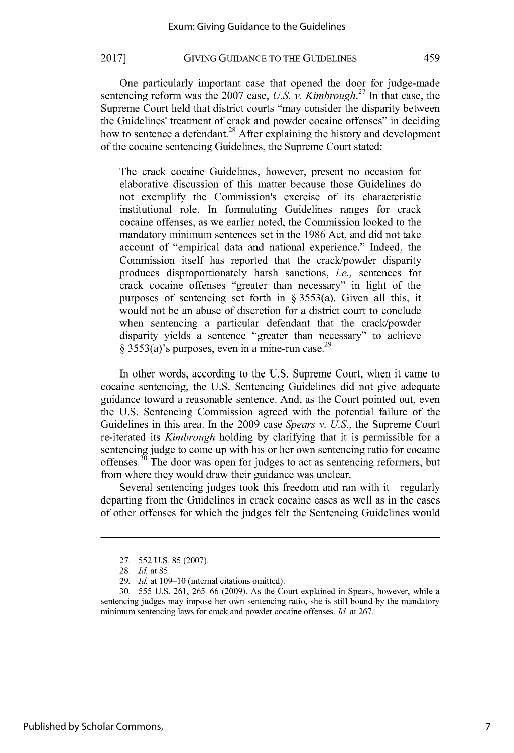One particularly important case that opened the door for judge-made **<sup>27</sup>** sentencing reform was the **2007** case, *U.S. v. Kimbrough.* In that case, the Supreme Court held that district courts "may consider the disparity between the Guidelines' treatment of crack and powder cocaine offenses" in deciding how to sentence a defendant.<sup>28</sup> After explaining the history and development of the cocaine sentencing Guidelines, the Supreme Court stated:

The crack cocaine Guidelines, however, present no occasion for elaborative discussion of this matter because those Guidelines do not exemplify the Commission's exercise of its characteristic institutional role. In formulating Guidelines ranges for crack cocaine offenses, as we earlier noted, the Commission looked to the mandatory minimum sentences set in the **1986** Act, and did not take account of "empirical data and national experience." Indeed, the Commission itself has reported that the crack/powder disparity produces disproportionately harsh sanctions, *i.e.,* sentences for crack cocaine offenses "greater than necessary" in light of the purposes of sentencing set forth in **§** *3553(a).* Given all this, it would not be an abuse of discretion for a district court to conclude when sentencing a particular defendant that the crack/powder disparity yields a sentence "greater than necessary" to achieve **§** *3553(a)'s* purposes, even in a mine-run case.29

In other words, according to the **U.S.** Supreme Court, when it came to cocaine sentencing, the **U.S.** Sentencing Guidelines did not give adequate guidance toward a reasonable sentence. And, as the Court pointed out, even the **U.S.** Sentencing Commission agreed with the potential failure of the Guidelines in this area. In the **2009** case *Spears v. U.S.,* the Supreme Court re-iterated its *Kimbrough* holding **by** clarifying that it is permissible for a sentencing judge to come up with his or her own sentencing ratio for cocaine offenses.<sup>30</sup> The door was open for judges to act as sentencing reformers, but from where they would draw their guidance was unclear.

Several sentencing judges took this freedom and ran with it—regularly departing from the Guidelines in crack cocaine cases as well as in the cases of other offenses for which the judges felt the Sentencing Guidelines would

**<sup>27.</sup>** *552* **U.S.** *85* **(2007).**

**<sup>28.</sup>** *Id. at* **85.**

**<sup>29.</sup>** *Id.* at **109-10** (internal citations omitted).

**<sup>30.</sup>** *555* **U.S. 261,** *265-66* **(2009).** As the Court explained in Spears, however, while a sentencing judges may impose her own sentencing ratio, she is still bound **by** the mandatory minimum sentencing laws for crack and powder cocaine offenses. *Id.* at **267.**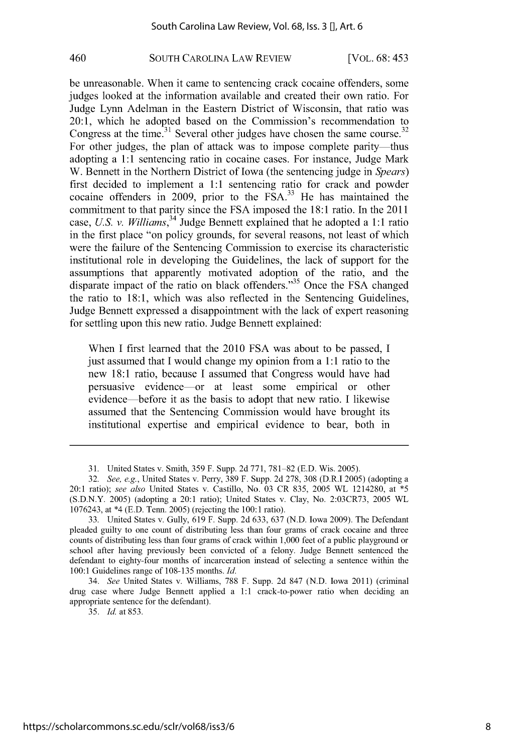## **SOUTH** CAROLINA LAW REVIEW 460 [VOL. **6 8:** 45 **3**

be unreasonable. When it came to sentencing crack cocaine offenders, some judges looked at the information available and created their own ratio. For Judge Lynn Adelman in the Eastern District of Wisconsin, that ratio was 20:1, which he adopted based on the Commission's recommendation to Congress at the time.<sup>31</sup> Several other judges have chosen the same course.<sup>32</sup> For other judges, the plan of attack was to impose complete parity—thus adopting a **1:1** sentencing ratio in cocaine cases. For instance, Judge Mark W. Bennett in the Northern District of Iowa (the sentencing judge in *Spears)* first decided to implement a **1:1** sentencing ratio for crack and powder cocaine offenders in **2009,** prior to the **FSA.33** He has maintained the commitment to that parity since the **FSA** imposed the **18:1** ratio. In the 2011 case, *U.S. v. Williams,34* Judge Bennett explained that he adopted a **1:1** ratio in the first place "on policy grounds, for several reasons, not least of which were the failure of the Sentencing Commission to exercise its characteristic institutional role in developing the Guidelines, the lack of support for the assumptions that apparently motivated adoption of the ratio, and the disparate impact of the ratio on black offenders."<sup>35</sup> Once the FSA changed the ratio to **18:1,** which was also reflected in the Sentencing Guidelines, Judge Bennett expressed a disappointment with the lack of expert reasoning for settling upon this new ratio. Judge Bennett explained:

When **I** first learned that the 2010 **FSA** was about to be passed, **I** just assumed that **I** would change my opinion from a **1:1** ratio to the new **18:1** ratio, because **I** assumed that Congress would have had persuasive evidence-or at least some empirical or other evidence before it as the basis to adopt that new ratio. **I** likewise assumed that the Sentencing Commission would have brought its institutional expertise and empirical evidence to bear, both in

**35.** *Id* at **853.**

**<sup>31.</sup>** United States v. Smith, *359* F. Supp. **2d771, 781-82 (E.D.** Wis. **2005).**

*<sup>32.</sup> See, e.g.,* United States v. Perry, **389** F. Supp. **2d 278, 308** (D.R.I **2005)** (adopting a 20:1 ratio); *see also* United States v. Castillo, No. **03** CR **835, 2005** WL 1214280, at *\*5* **(S.D.N.Y. 2005)** (adopting a 20:1 ratio); United States v. Clay, No. **2:03CR73, 2005** WL **1076243,** at \*4 **(E.D.** Tenn. **2005)** (rejecting the **100:1** ratio).

**<sup>33.</sup>** United States v. Gully, **619** F. Supp. **2d 633, 637 (N.D.** Iowa **2009).** The Defendant pleaded guilty to one count of distributing less than four grams of crack cocaine and three counts of distributing less than four grams of crack within **1,000** feet of a public playground or school after having previously been convicted of a felony. Judge Bennett sentenced the defendant to eighty-four months of incarceration instead of selecting a sentence within the **100:1** Guidelines range of **108-135** months. *Id.*

*<sup>34.</sup> See* United States v. Williams, **788** F. Supp. **2d 847 (N.D.** Iowa 2011) (criminal drug case where Judge Bennett applied a **1:1** crack-to-power ratio when deciding an appropriate sentence for the defendant).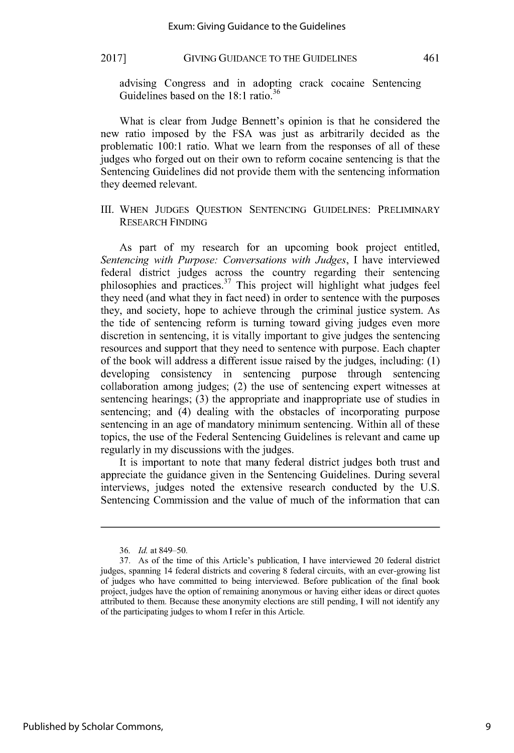advising Congress and in adopting crack cocaine Sentencing **<sup>36</sup>** Guidelines based on the **18:1** ratio.

What is clear from Judge Bennett's opinion is that he considered the new ratio imposed **by** the **FSA** was just as arbitrarily decided as the problematic **100:1** ratio. What we learn from the responses of all of these judges who forged out on their own to reform cocaine sentencing is that the Sentencing Guidelines did not provide them with the sentencing information they deemed relevant.

III. **WHEN JUDGES QUESTION SENTENCING** GUIDELINES: PRELIMINARY RESEARCH **FINDING**

As part of my research for an upcoming book project entitled, *Sentencing with Purpose: Conversations with Judges, I* have interviewed federal district judges across the country regarding their sentencing philosophies and practices.<sup>37</sup> This project will highlight what judges feel they need (and what they in fact need) in order to sentence with the purposes they, and society, hope to achieve through the criminal justice system. As the tide of sentencing reform is turning toward giving judges even more discretion in sentencing, it is vitally important to give judges the sentencing resources and support that they need to sentence with purpose. Each chapter of the book will address a different issue raised **by** the judges, including: **(1)** developing consistency in sentencing purpose through sentencing collaboration among judges; (2) the use of sentencing expert witnesses at sentencing hearings; **(3)** the appropriate and inappropriate use of studies in sentencing; and (4) dealing with the obstacles of incorporating purpose sentencing in an age of mandatory minimum sentencing. Within all of these topics, the use of the Federal Sentencing Guidelines is relevant and came up regularly in my discussions with the judges.

It is important to note that many federal district judges both trust and appreciate the guidance given in the Sentencing Guidelines. During several interviews, judges noted the extensive research conducted **by** the **U.S.** Sentencing Commission and the value of much of the information that can

**<sup>36.</sup>** *Id.* at **849-50.**

**<sup>37.</sup>** As of the time of this Article's publication, **I** have interviewed 20 federal district judges, spanning 14 federal districts and covering **8** federal circuits, with an ever-growing list of judges who have committed to being interviewed. Before publication of the final book project, judges have the option of remaining anonymous or having either ideas or direct quotes attributed to them. Because these anonymity elections are still pending, **I** will not identify any of the participating judges to whom **I** refer in this Article.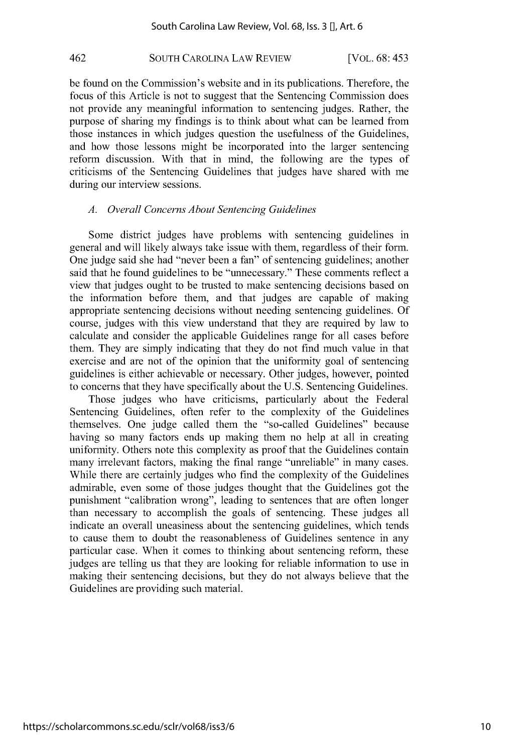## **SOUTH** CAROLINA LAW REVIEW 462 [VOL. **6 8:** 45 **3**

be found on the Commission's website and in its publications. Therefore, the focus of this Article is not to suggest that the Sentencing Commission does not provide any meaningful information to sentencing judges. Rather, the purpose of sharing my findings is to think about what can be learned from those instances in which judges question the usefulness of the Guidelines, and how those lessons might be incorporated into the larger sentencing reform discussion. With that in mind, the following are the types of criticisms of the Sentencing Guidelines that judges have shared with me during our interview sessions.

## *A. Overall Concerns About Sentencing Guidelines*

Some district judges have problems with sentencing guidelines in general and will likely always take issue with them, regardless of their form. One judge said she had "never been a fan" of sentencing guidelines; another said that he found guidelines to be "unnecessary." These comments reflect a view that judges ought to be trusted to make sentencing decisions based on the information before them, and that judges are capable of making appropriate sentencing decisions without needing sentencing guidelines. **Of** course, judges with this view understand that they are required **by** law to calculate and consider the applicable Guidelines range for all cases before them. They are simply indicating that they do not find much value in that exercise and are not of the opinion that the uniformity goal of sentencing guidelines is either achievable or necessary. Other judges, however, pointed to concerns that they have specifically about the **U.S.** Sentencing Guidelines.

Those judges who have criticisms, particularly about the Federal Sentencing Guidelines, often refer to the complexity of the Guidelines themselves. One judge called them the "so-called Guidelines" because having so many factors ends up making them no help at all in creating uniformity. Others note this complexity as proof that the Guidelines contain many irrelevant factors, making the final range "unreliable" in many cases. While there are certainly judges who find the complexity of the Guidelines admirable, even some of those judges thought that the Guidelines got the punishment "calibration wrong", leading to sentences that are often longer than necessary to accomplish the goals of sentencing. These judges all indicate an overall uneasiness about the sentencing guidelines, which tends to cause them to doubt the reasonableness of Guidelines sentence in any particular case. When it comes to thinking about sentencing reform, these judges are telling us that they are looking for reliable information to use in making their sentencing decisions, but they do not always believe that the Guidelines are providing such material.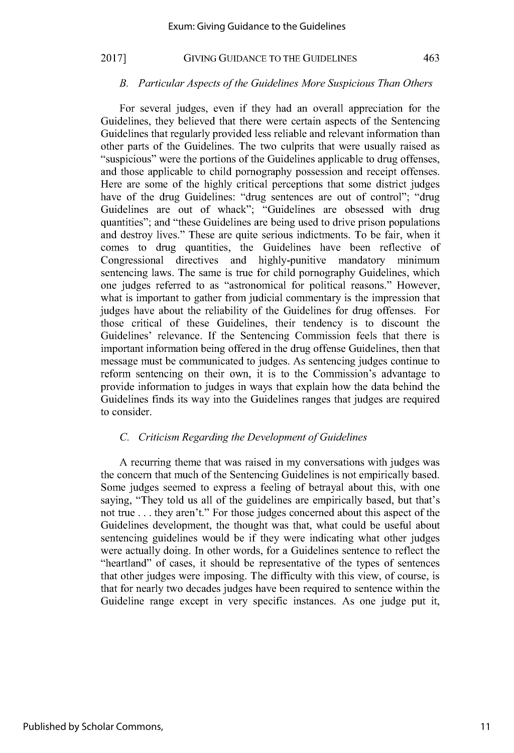#### *B. Particular Aspects of the Guidelines More Suspicious Than Others*

For several judges, even if they had an overall appreciation for the Guidelines, they believed that there were certain aspects of the Sentencing Guidelines that regularly provided less reliable and relevant information than other parts of the Guidelines. The two culprits that were usually raised as "suspicious" were the portions of the Guidelines applicable to drug offenses, and those applicable to child pornography possession and receipt offenses. Here are some of the **highly** critical perceptions that some district judges have of the drug Guidelines: "drug sentences are out of control"; "drug Guidelines are out of whack"; "Guidelines are obsessed with drug quantities"; and "these Guidelines are being used to drive prison populations and destroy lives." These are quite serious indictments. To be fair, when it comes to drug quantities, the Guidelines have been reflective of Congressional directives and highly-punitive mandatory minimum sentencing laws. The same is true for child pornography Guidelines, which one judges referred to as "astronomical for political reasons." However, what is important to gather from judicial commentary is the impression that judges have about the reliability of the Guidelines for drug offenses. For those critical of these Guidelines, their tendency is to discount the Guidelines' relevance. **If** the Sentencing Commission feels that there is important information being offered in the drug offense Guidelines, then that message must be communicated to judges. As sentencing judges continue to reform sentencing on their own, it is to the Commission's advantage to provide information to judges in ways that explain how the data behind the Guidelines finds its way into the Guidelines ranges that judges are required to consider.

## *C. Criticism Regarding the Development of Guidelines*

**A** recurring theme that was raised in my conversations with judges was the concern that much of the Sentencing Guidelines is not empirically based. Some judges seemed to express a feeling of betrayal about this, with one saying, "They told us all of the guidelines are empirically based, but that's not true **.** . **.** they aren't." For those judges concerned about this aspect of the Guidelines development, the thought was that, what could be useful about sentencing guidelines would be if they were indicating what other judges were actually doing. In other words, for a Guidelines sentence to reflect the "heartland" of cases, it should be representative of the types of sentences that other judges were imposing. The difficulty with this view, of course, is that for nearly two decades judges have been required to sentence within the Guideline range except in very specific instances. As one judge put it,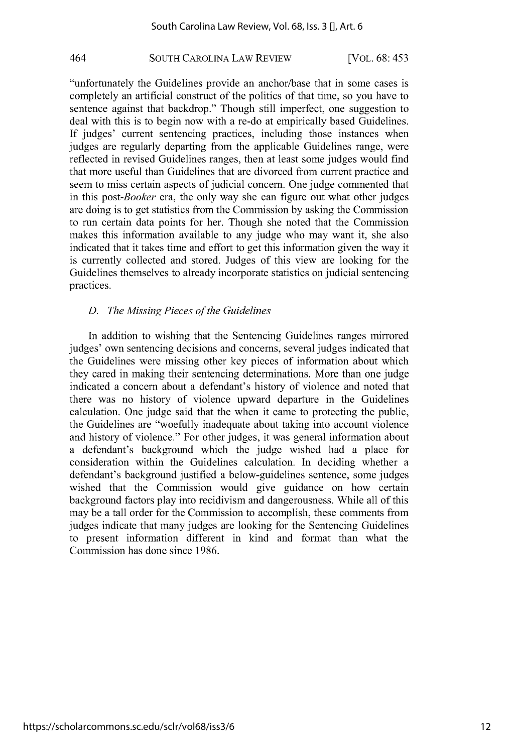## **SOUTH** CAROLINA LAW REVIEW 464 [VOL. **6 8:** 45 **3**

"unfortunately the Guidelines provide an anchor/base that in some cases is completely an artificial construct of the politics of that time, so you have to sentence against that backdrop." Though still imperfect, one suggestion to deal with this is to begin now with a re-do at empirically based Guidelines. **If** judges' current sentencing practices, including those instances when judges are regularly departing from the applicable Guidelines range, were reflected in revised Guidelines ranges, then at least some judges would find that more useful than Guidelines that are divorced from current practice and seem to miss certain aspects of judicial concern. One judge commented that in this *post-Booker* era, the only way she can figure out what other judges are doing is to get statistics from the Commission **by** asking the Commission to run certain data points for her. Though she noted that the Commission makes this information available to any judge who may want it, she also indicated that it takes time and effort to get this information given the way it is currently collected and stored. Judges of this view are looking for the Guidelines themselves to already incorporate statistics on judicial sentencing practices.

## *D. The Missing Pieces of the Guidelines*

In addition to wishing that the Sentencing Guidelines ranges mirrored judges' own sentencing decisions and concerns, several judges indicated that the Guidelines were missing other key pieces of information about which they cared in making their sentencing determinations. More than one judge indicated a concern about a defendant's history of violence and noted that there was no history of violence upward departure in the Guidelines calculation. One judge said that the when it came to protecting the public, the Guidelines are "woefully inadequate about taking into account violence and history of violence." For other judges, it was general information about a defendant's background which the judge wished had a place for consideration within the Guidelines calculation. In deciding whether a defendant's background justified a below-guidelines sentence, some judges wished that the Commission would give guidance on how certain background factors play into recidivism and dangerousness. While all of this may be a tall order for the Commission to accomplish, these comments from judges indicate that many judges are looking for the Sentencing Guidelines to present information different in kind and format than what the Commission has done since **1986.**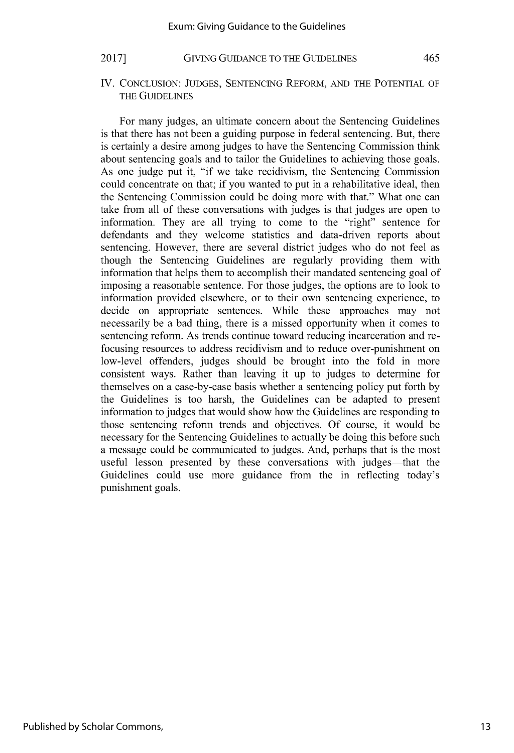**IV. CONCLUSION: JUDGES, SENTENCING** REFORM, **AND** THE **POTENTIAL** OF THE **GUIDELINES**

For many judges, an ultimate concern about the Sentencing Guidelines is that there has not been a guiding purpose in federal sentencing. But, there is certainly a desire among judges to have the Sentencing Commission think about sentencing goals and to tailor the Guidelines to achieving those goals. As one judge put it, "if we take recidivism, the Sentencing Commission could concentrate on that; if you wanted to put in a rehabilitative ideal, then the Sentencing Commission could be doing more with that." What one can take from all of these conversations with judges is that judges are open to information. They are all trying to come to the "right" sentence for defendants and they welcome statistics and data-driven reports about sentencing. However, there are several district judges who do not feel as though the Sentencing Guidelines are regularly providing them with information that helps them to accomplish their mandated sentencing goal of imposing a reasonable sentence. For those judges, the options are to look to information provided elsewhere, or to their own sentencing experience, to decide on appropriate sentences. While these approaches may not necessarily be a bad thing, there is a missed opportunity when it comes to sentencing reform. As trends continue toward reducing incarceration and refocusing resources to address recidivism and to reduce over-punishment on low-level offenders, judges should be brought into the fold in more consistent ways. Rather than leaving it up to judges to determine for themselves on a case-by-case basis whether a sentencing policy put forth **by** the Guidelines is too harsh, the Guidelines can be adapted to present information to judges that would show how the Guidelines are responding to those sentencing reform trends and objectives. **Of** course, it would be necessary for the Sentencing Guidelines to actually be doing this before such a message could be communicated to judges. And, perhaps that is the most useful lesson presented by these conversations with judges-that the Guidelines could use more guidance from the in reflecting today's punishment goals.